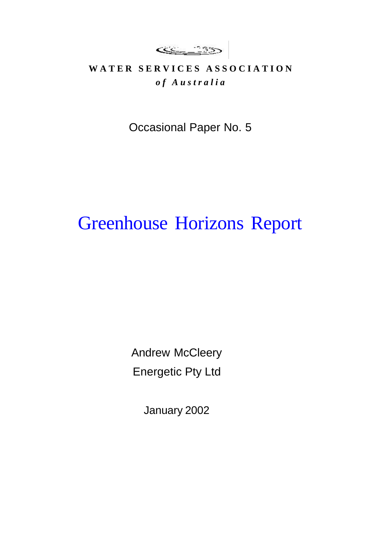<u>sse 135</u>

## WATER SERVICES ASSOCIATION *o f A u s t r a l i a*

Occasional Paper No. 5

# Greenhouse Horizons Report

Andrew McCleery Energetic Pty Ltd

January 2002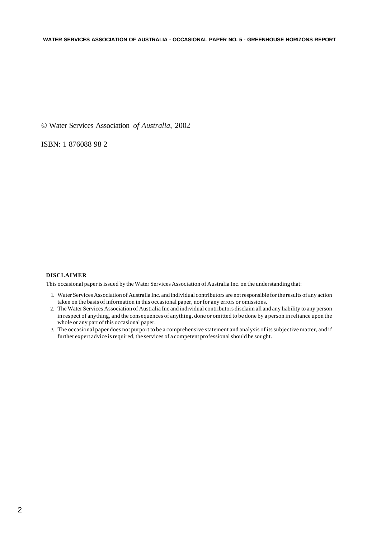© Water Services Association *of Australia*, 2002

ISBN: 1 876088 98 2

#### **DISCLAIMER**

This occasional paper is issued by the Water Services Association of Australia Inc. on the understanding that:

- 1. Water Services Association of Australia Inc. and individual contributors are not responsible for the results of any action taken on the basis of information in this occasional paper, nor for any errors or omissions.
- 2. The Water Services Association of Australia Inc and individual contributors disclaim all and any liability to any person in respect of anything, and the consequences of anything, done or omitted to be done by a person in reliance upon the whole or any part of this occasional paper.
- 3. The occasional paper does not purport to be a comprehensive statement and analysis of its subjective matter, and if further expert advice is required, the services of a competent professional should be sought.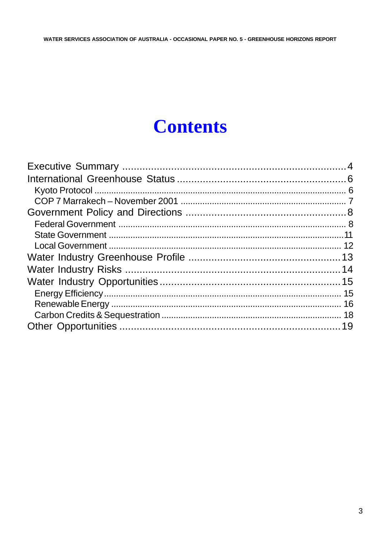# **Contents**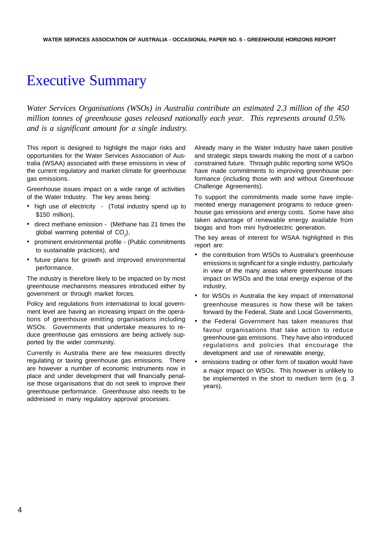## Executive Summary

*Water Services Organisations (WSOs) in Australia contribute an estimated 2.3 million of the 450 million tonnes of greenhouse gases released nationally each year. This represents around 0.5% and is a significant amount for a single industry.*

This report is designed to highlight the major risks and opportunities for the Water Services Association of Australia (WSAA) associated with these emissions in view of the current regulatory and market climate for greenhouse gas emissions.

Greenhouse issues impact on a wide range of activities of the Water Industry. The key areas being:

- high use of electricity (Total industry spend up to \$150 million),
- direct methane emission (Methane has 21 times the global warming potential of  $CO<sub>2</sub>$ ),
- prominent environmental profile (Public commitments to sustainable practices), and
- future plans for growth and improved environmental performance.

The industry is therefore likely to be impacted on by most greenhouse mechanisms measures introduced either by government or through market forces.

Policy and regulations from international to local government level are having an increasing impact on the operations of greenhouse emitting organisations including WSOs. Governments that undertake measures to reduce greenhouse gas emissions are being actively supported by the wider community.

Currently in Australia there are few measures directly regulating or taxing greenhouse gas emissions. There are however a number of economic instruments now in place and under development that will financially penalise those organisations that do not seek to improve their greenhouse performance. Greenhouse also needs to be addressed in many regulatory approval processes.

Already many in the Water Industry have taken positive and strategic steps towards making the most of a carbon constrained future. Through public reporting some WSOs have made commitments to improving greenhouse performance (including those with and without Greenhouse Challenge Agreements).

To support the commitments made some have implemented energy management programs to reduce greenhouse gas emissions and energy costs. Some have also taken advantage of renewable energy available from biogas and from mini hydroelectric generation.

The key areas of interest for WSAA highlighted in this report are:

- the contribution from WSOs to Australia's greenhouse emissions is significant for a single industry, particularly in view of the many areas where greenhouse issues impact on WSOs and the total energy expense of the industry,
- for WSOs in Australia the key impact of international greenhouse measures is how these will be taken forward by the Federal, State and Local Governments,
- the Federal Government has taken measures that favour organisations that take action to reduce greenhouse gas emissions. They have also introduced regulations and policies that encourage the development and use of renewable energy,
- emissions trading or other form of taxation would have a major impact on WSOs. This however is unlikely to be implemented in the short to medium term (e.g. 3 years),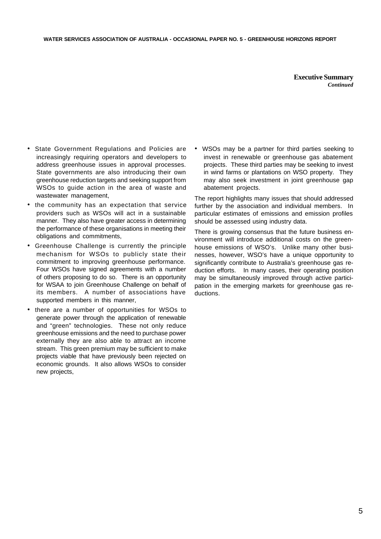**Executive Summary** *Continued*

- State Government Regulations and Policies are increasingly requiring operators and developers to address greenhouse issues in approval processes. State governments are also introducing their own greenhouse reduction targets and seeking support from WSOs to guide action in the area of waste and wastewater management,
- the community has an expectation that service providers such as WSOs will act in a sustainable manner. They also have greater access in determining the performance of these organisations in meeting their obligations and commitments,
- Greenhouse Challenge is currently the principle mechanism for WSOs to publicly state their commitment to improving greenhouse performance. Four WSOs have signed agreements with a number of others proposing to do so. There is an opportunity for WSAA to join Greenhouse Challenge on behalf of its members. A number of associations have supported members in this manner,
- there are a number of opportunities for WSOs to generate power through the application of renewable and "green" technologies. These not only reduce greenhouse emissions and the need to purchase power externally they are also able to attract an income stream. This green premium may be sufficient to make projects viable that have previously been rejected on economic grounds. It also allows WSOs to consider new projects,

• WSOs may be a partner for third parties seeking to invest in renewable or greenhouse gas abatement projects. These third parties may be seeking to invest in wind farms or plantations on WSO property. They may also seek investment in joint greenhouse gap abatement projects.

The report highlights many issues that should addressed further by the association and individual members. In particular estimates of emissions and emission profiles should be assessed using industry data.

There is growing consensus that the future business environment will introduce additional costs on the greenhouse emissions of WSO's. Unlike many other businesses, however, WSO's have a unique opportunity to significantly contribute to Australia's greenhouse gas reduction efforts. In many cases, their operating position may be simultaneously improved through active participation in the emerging markets for greenhouse gas reductions.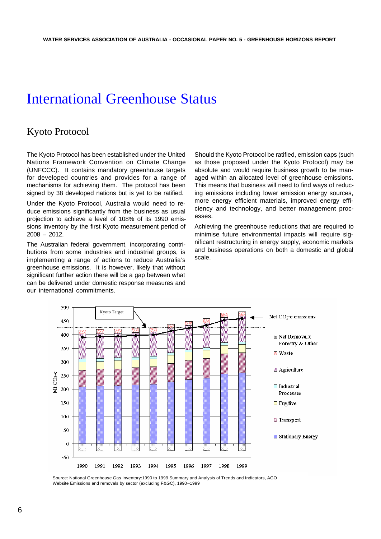## International Greenhouse Status

### Kyoto Protocol

The Kyoto Protocol has been established under the United Nations Framework Convention on Climate Change (UNFCCC). It contains mandatory greenhouse targets for developed countries and provides for a range of mechanisms for achieving them. The protocol has been signed by 38 developed nations but is yet to be ratified.

Under the Kyoto Protocol, Australia would need to reduce emissions significantly from the business as usual projection to achieve a level of 108% of its 1990 emissions inventory by the first Kyoto measurement period of 2008 – 2012.

The Australian federal government, incorporating contributions from some industries and industrial groups, is implementing a range of actions to reduce Australia's greenhouse emissions. It is however, likely that without significant further action there will be a gap between what can be delivered under domestic response measures and our international commitments.

Should the Kyoto Protocol be ratified, emission caps (such as those proposed under the Kyoto Protocol) may be absolute and would require business growth to be managed within an allocated level of greenhouse emissions. This means that business will need to find ways of reducing emissions including lower emission energy sources, more energy efficient materials, improved energy efficiency and technology, and better management processes.

Achieving the greenhouse reductions that are required to minimise future environmental impacts will require significant restructuring in energy supply, economic markets and business operations on both a domestic and global scale.



Source: National Greenhouse Gas Inventory:1990 to 1999 Summary and Analysis of Trends and Indicators, AGO Website Emissions and removals by sector (excluding F&GC), 1990–1999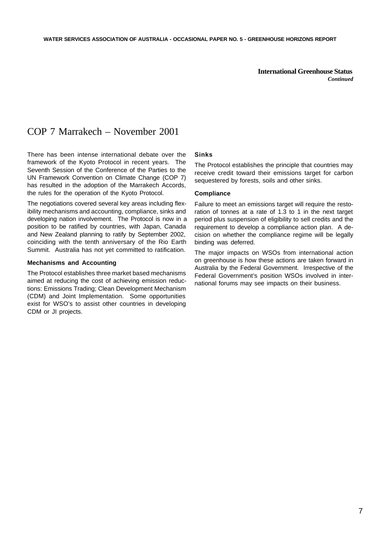**International Greenhouse Status** *Continued*

### COP 7 Marrakech – November 2001

There has been intense international debate over the framework of the Kyoto Protocol in recent years. The Seventh Session of the Conference of the Parties to the UN Framework Convention on Climate Change (COP 7) has resulted in the adoption of the Marrakech Accords, the rules for the operation of the Kyoto Protocol.

The negotiations covered several key areas including flexibility mechanisms and accounting, compliance, sinks and developing nation involvement. The Protocol is now in a position to be ratified by countries, with Japan, Canada and New Zealand planning to ratify by September 2002, coinciding with the tenth anniversary of the Rio Earth Summit. Australia has not yet committed to ratification.

#### **Mechanisms and Accounting**

The Protocol establishes three market based mechanisms aimed at reducing the cost of achieving emission reductions: Emissions Trading; Clean Development Mechanism (CDM) and Joint Implementation. Some opportunities exist for WSO's to assist other countries in developing CDM or JI projects.

#### **Sinks**

The Protocol establishes the principle that countries may receive credit toward their emissions target for carbon sequestered by forests, soils and other sinks.

#### **Compliance**

Failure to meet an emissions target will require the restoration of tonnes at a rate of 1.3 to 1 in the next target period plus suspension of eligibility to sell credits and the requirement to develop a compliance action plan. A decision on whether the compliance regime will be legally binding was deferred.

The major impacts on WSOs from international action on greenhouse is how these actions are taken forward in Australia by the Federal Government. Irrespective of the Federal Government's position WSOs involved in international forums may see impacts on their business.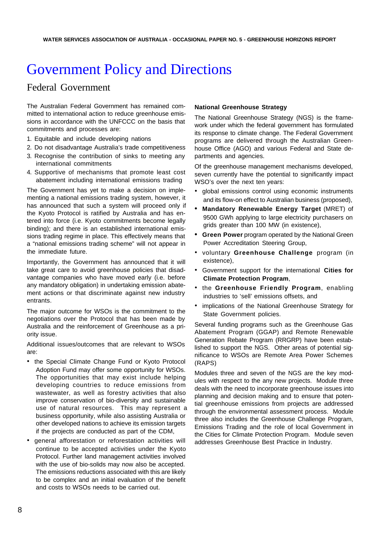## Government Policy and Directions

### Federal Government

The Australian Federal Government has remained committed to international action to reduce greenhouse emissions in accordance with the UNFCCC on the basis that commitments and processes are:

- 1. Equitable and include developing nations
- 2. Do not disadvantage Australia's trade competitiveness
- 3. Recognise the contribution of sinks to meeting any international commitments
- 4. Supportive of mechanisms that promote least cost abatement including international emissions trading

The Government has yet to make a decision on implementing a national emissions trading system, however, it has announced that such a system will proceed only if the Kyoto Protocol is ratified by Australia and has entered into force (i.e. Kyoto commitments become legally binding); and there is an established international emissions trading regime in place. This effectively means that a "national emissions trading scheme" will not appear in the immediate future.

Importantly, the Government has announced that it will take great care to avoid greenhouse policies that disadvantage companies who have moved early (i.e. before any mandatory obligation) in undertaking emission abatement actions or that discriminate against new industry entrants.

The major outcome for WSOs is the commitment to the negotiations over the Protocol that has been made by Australia and the reinforcement of Greenhouse as a priority issue.

Additional issues/outcomes that are relevant to WSOs are:

- the Special Climate Change Fund or Kyoto Protocol Adoption Fund may offer some opportunity for WSOs. The opportunities that may exist include helping developing countries to reduce emissions from wastewater, as well as forestry activities that also improve conservation of bio-diversity and sustainable use of natural resources. This may represent a business opportunity, while also assisting Australia or other developed nations to achieve its emission targets if the projects are conducted as part of the CDM,
- general afforestation or reforestation activities will continue to be accepted activities under the Kyoto Protocol. Further land management activities involved with the use of bio-solids may now also be accepted. The emissions reductions associated with this are likely to be complex and an initial evaluation of the benefit and costs to WSOs needs to be carried out.

#### **National Greenhouse Strategy**

The National Greenhouse Strategy (NGS) is the framework under which the federal government has formulated its response to climate change. The Federal Government programs are delivered through the Australian Greenhouse Office (AGO) and various Federal and State departments and agencies.

Of the greenhouse management mechanisms developed, seven currently have the potential to significantly impact WSO's over the next ten years:

- global emissions control using economic instruments and its flow-on effect to Australian business (proposed),
- **• Mandatory Renewable Energy Target** (MRET) of 9500 GWh applying to large electricity purchasers on grids greater than 100 MW (in existence),
- **• Green Power** program operated by the National Green Power Accreditation Steering Group,
- voluntary **Greenhouse Challenge** program (in existence),
- Government support for the international **Cities for Climate Protection Program**,
- the **Greenhouse Friendly Program**, enabling industries to 'sell' emissions offsets, and
- implications of the National Greenhouse Strategy for State Government policies.

Several funding programs such as the Greenhouse Gas Abatement Program (GGAP) and Remote Renewable Generation Rebate Program (RRGRP) have been established to support the NGS. Other areas of potential significance to WSOs are Remote Area Power Schemes (RAPS)

Modules three and seven of the NGS are the key modules with respect to the any new projects. Module three deals with the need to incorporate greenhouse issues into planning and decision making and to ensure that potential greenhouse emissions from projects are addressed through the environmental assessment process. Module three also includes the Greenhouse Challenge Program, Emissions Trading and the role of local Government in the Cities for Climate Protection Program. Module seven addresses Greenhouse Best Practice in Industry.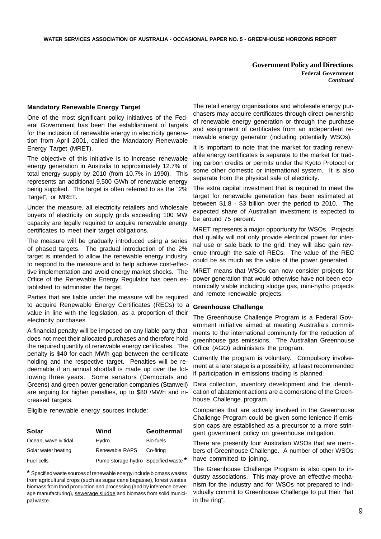**Government Policy and Directions Federal Government** *Continued*

#### **Mandatory Renewable Energy Target**

One of the most significant policy initiatives of the Federal Government has been the establishment of targets for the inclusion of renewable energy in electricity generation from April 2001, called the Mandatory Renewable Energy Target (MRET).

The objective of this initiative is to increase renewable energy generation in Australia to approximately 12.7% of total energy supply by 2010 (from 10.7% in 1990). This represents an additional 9,500 GWh of renewable energy being supplied. The target is often referred to as the "2% Target", or MRET.

Under the measure, all electricity retailers and wholesale buyers of electricity on supply grids exceeding 100 MW capacity are legally required to acquire renewable energy certificates to meet their target obligations.

The measure will be gradually introduced using a series of phased targets. The gradual introduction of the 2% target is intended to allow the renewable energy industry to respond to the measure and to help achieve cost-effective implementation and avoid energy market shocks. The Office of the Renewable Energy Regulator has been established to administer the target.

Parties that are liable under the measure will be required to acquire Renewable Energy Certificates (RECs) to a value in line with the legislation, as a proportion of their electricity purchases.

A financial penalty will be imposed on any liable party that does not meet their allocated purchases and therefore hold the required quantity of renewable energy certificates. The penalty is \$40 for each MWh gap between the certificate holding and the respective target. Penalties will be redeemable if an annual shortfall is made up over the following three years. Some senators (Democrats and Greens) and green power generation companies (Stanwell) are arguing for higher penalties, up to \$80 /MWh and increased targets.

Eligible renewable energy sources include:

| Solar               | Wind                                | Geothermal |
|---------------------|-------------------------------------|------------|
| Ocean, wave & tidal | Hydro                               | Bio-fuels  |
| Solar water heating | Renewable RAPS                      | Co-firina  |
| Fuel cells          | Pump storage hydro Specified waste* |            |

**\*** Specified waste sources of renewable energy include biomass wastes from agricultural crops (such as sugar cane bagasse), forest wastes, biomass from food production and processing (and by inference beverage manufacturing), sewerage sludge and biomass from solid municipal waste.

The retail energy organisations and wholesale energy purchasers may acquire certificates through direct ownership of renewable energy generation or through the purchase and assignment of certificates from an independent renewable energy generator (including potentially WSOs).

It is important to note that the market for trading renewable energy certificates is separate to the market for trading carbon credits or permits under the Kyoto Protocol or some other domestic or international system. It is also separate from the physical sale of electricity.

The extra capital investment that is required to meet the target for renewable generation has been estimated at between \$1.8 - \$3 billion over the period to 2010. The expected share of Australian investment is expected to be around 75 percent.

MRET represents a major opportunity for WSOs. Projects that qualify will not only provide electrical power for internal use or sale back to the grid; they will also gain revenue through the sale of RECs. The value of the REC could be as much as the value of the power generated.

MRET means that WSOs can now consider projects for power generation that would otherwise have not been economically viable including sludge gas, mini-hydro projects and remote renewable projects.

#### **Greenhouse Challenge**

The Greenhouse Challenge Program is a Federal Government initiative aimed at meeting Australia's commitments to the international community for the reduction of greenhouse gas emissions. The Australian Greenhouse Office (AGO) administers the program.

Currently the program is voluntary. Compulsory involvement at a later stage is a possibility, at least recommended if participation in emissions trading is planned.

Data collection, inventory development and the identification of abatement actions are a cornerstone of the Greenhouse Challenge program.

Companies that are actively involved in the Greenhouse Challenge Program could be given some lenience if emission caps are established as a precursor to a more stringent government policy on greenhouse mitigation.

There are presently four Australian WSOs that are members of Greenhouse Challenge. A number of other WSOs have committed to joining.

The Greenhouse Challenge Program is also open to industry associations. This may prove an effective mechanism for the industry and for WSOs not prepared to individually commit to Greenhouse Challenge to put their "hat in the ring".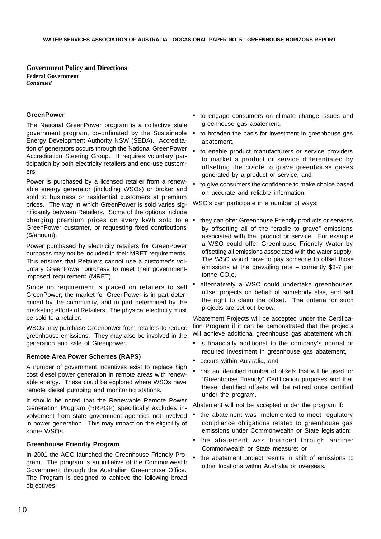**Government Policy and Directions Federal Government** *Continued*

#### **GreenPower**

The National GreenPower program is a collective state government program, co-ordinated by the Sustainable Energy Development Authority NSW (SEDA). Accreditation of generators occurs through the National GreenPower Accreditation Steering Group. It requires voluntary participation by both electricity retailers and end-use customers.

Power is purchased by a licensed retailer from a renewable energy generator (including WSOs) or broker and sold to business or residential customers at premium prices. The way in which GreenPower is sold varies significantly between Retailers. Some of the options include charging premium prices on every kWh sold to a  $\bullet$ GreenPower customer, or requesting fixed contributions (\$/annum).

Power purchased by electricity retailers for GreenPower purposes may not be included in their MRET requirements. This ensures that Retailers cannot use a customer's voluntary GreenPower purchase to meet their governmentimposed requirement (MRET).

Since no requirement is placed on retailers to sell GreenPower, the market for GreenPower is in part determined by the community, and in part determined by the marketing efforts of Retailers. The physical electricity must be sold to a retailer.

WSOs may purchase Greenpower from retailers to reduce greenhouse emissions. They may also be involved in the generation and sale of Greenpower.

#### **Remote Area Power Schemes (RAPS)**

A number of government incentives exist to replace high cost diesel power generation in remote areas with renewable energy. These could be explored where WSOs have remote diesel pumping and monitoring stations.

It should be noted that the Renewable Remote Power Generation Program (RRPGP) specifically excludes involvement from state government agencies not involved in power generation. This may impact on the eligibility of some WSOs.

#### **Greenhouse Friendly Program**

In 2001 the AGO launched the Greenhouse Friendly Program. The program is an initiative of the Commonwealth Government through the Australian Greenhouse Office. The Program is designed to achieve the following broad objectives:

- to engage consumers on climate change issues and greenhouse gas abatement,
- to broaden the basis for investment in greenhouse gas abatement,
- to enable product manufacturers or service providers to market a product or service differentiated by offsetting the cradle to grave greenhouse gases generated by a product or service, and
- to give consumers the confidence to make choice based on accurate and reliable information.

WSO's can participate in a number of ways:

- they can offer Greenhouse Friendly products or services by offsetting all of the "cradle to grave" emissions associated with that product or service. For example a WSO could offer Greenhouse Friendly Water by offsetting all emissions associated with the water supply. The WSO would have to pay someone to offset those emissions at the prevailing rate – currently \$3-7 per tonne CO<sub>2</sub>e,
- alternatively a WSO could undertake greenhouses offset projects on behalf of somebody else, and sell the right to claim the offset. The criteria for such projects are set out below.

'Abatement Projects will be accepted under the Certification Program if it can be demonstrated that the projects will achieve additional greenhouse gas abatement which:

- is financially additional to the company's normal or required investment in greenhouse gas abatement,
- occurs within Australia, and
- has an identified number of offsets that will be used for "Greenhouse Friendly" Certification purposes and that these identified offsets will be retired once certified under the program.

Abatement will not be accepted under the program if:

- the abatement was implemented to meet regulatory compliance obligations related to greenhouse gas emissions under Commonwealth or State legislation;
- the abatement was financed through another Commonwealth or State measure; or
- the abatement project results in shift of emissions to other locations within Australia or overseas.'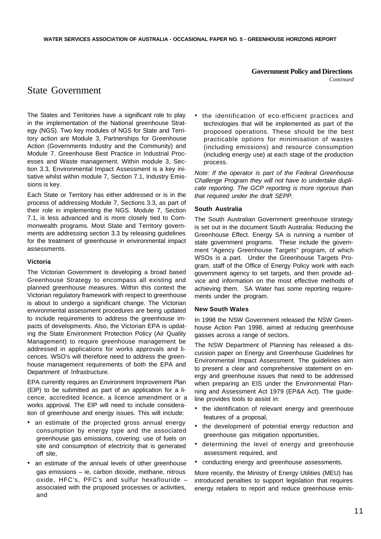#### **Government Policy and Directions**

*Continued*

### State Government

The States and Territories have a significant role to play in the implementation of the National greenhouse Strategy (NGS). Two key modules of NGS for State and Territory action are Module 3, Partnerships for Greenhouse Action (Governments Industry and the Community) and Module 7. Greenhouse Best Practice in Industrial Processes and Waste management. Within module 3, Section 3.3, Environmental Impact Assessment is a key initiative whilst within module 7, Section 7.1, Industry Emissions is key.

Each State or Territory has either addressed or is in the process of addressing Module 7, Sections 3.3, as part of their role in implementing the NGS. Module 7, Section 7.1, is less advanced and is more closely tied to Commonwealth programs. Most State and Territory governments are addressing section 3.3 by releasing guidelines for the treatment of greenhouse in environmental impact assessments.

#### **Victoria**

The Victorian Government is developing a broad based Greenhouse Strategy to encompass all existing and planned greenhouse measures. Within this context the Victorian regulatory framework with respect to greenhouse is about to undergo a significant change. The Victorian environmental assessment procedures are being updated to include requirements to address the greenhouse impacts of developments. Also, the Victorian EPA is updating the State Environment Protection Policy (Air Quality Management) to require greenhouse management be addressed in applications for works approvals and licences. WSO's will therefore need to address the greenhouse management requirements of both the EPA and Department of Infrastructure.

EPA currently requires an Environment Improvement Plan (EIP) to be submitted as part of an application for a licence, accredited licence, a licence amendment or a works approval. The EIP will need to include consideration of greenhouse and energy issues. This will include:

- an estimate of the projected gross annual energy consumption by energy type and the associated greenhouse gas emissions, covering: use of fuels on site and consumption of electricity that is generated off site,
- an estimate of the annual levels of other greenhouse gas emissions – ie, carbon dioxide, methane, nitrous oxide, HFC's, PFC's and sulfur hexaflouride – associated with the proposed processes or activities, and

• the identification of eco-efficient practices and technologies that will be implemented as part of the proposed operations. These should be the best practicable options for minimisation of wastes (including emissions) and resource consumption (including energy use) at each stage of the production process.

*Note: If the operator is part of the Federal Greenhouse Challenge Program they will not have to undertake duplicate reporting. The GCP reporting is more rigorous than that required under the draft SEPP.*

#### **South Australia**

The South Australian Government greenhouse strategy is set out in the document South Australia: Reducing the Greenhouse Effect. Energy SA is running a number of state government programs. These include the government "Agency Greenhouse Targets" program, of which WSOs is a part. Under the Greenhouse Targets Program, staff of the Office of Energy Policy work with each government agency to set targets, and then provide advice and information on the most effective methods of achieving them. SA Water has some reporting requirements under the program.

#### **New South Wales**

In 1998 the NSW Government released the NSW Greenhouse Action Pan 1998, aimed at reducing greenhouse gasses across a range of sectors.

The NSW Department of Planning has released a discussion paper on Energy and Greenhouse Guidelines for Environmental Impact Assessment. The guidelines aim to present a clear and comprehensive statement on energy and greenhouse issues that need to be addressed when preparing an EIS under the Environmental Planning and Assessment Act 1979 (EP&A Act). The guideline provides tools to assist in:

- the identification of relevant energy and greenhouse features of a proposal,
- the development of potential energy reduction and greenhouse gas mitigation opportunities,
- determining the level of energy and greenhouse assessment required, and
- conducting energy and greenhouse assessments.

More recently, the Ministry of Energy Utilities (MEU) has introduced penalties to support legislation that requires energy retailers to report and reduce greenhouse emis-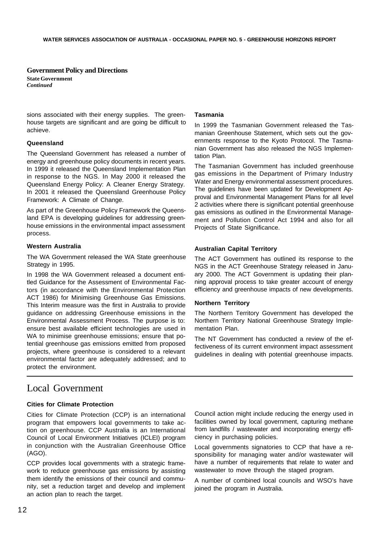#### **Government Policy and Directions**

**State Government** *Continued*

sions associated with their energy supplies. The greenhouse targets are significant and are going be difficult to achieve.

#### **Queensland**

The Queensland Government has released a number of energy and greenhouse policy documents in recent years. In 1999 it released the Queensland Implementation Plan in response to the NGS. In May 2000 it released the Queensland Energy Policy: A Cleaner Energy Strategy. In 2001 it released the Queensland Greenhouse Policy Framework: A Climate of Change.

As part of the Greenhouse Policy Framework the Queensland EPA is developing guidelines for addressing greenhouse emissions in the environmental impact assessment process.

#### **Western Australia**

The WA Government released the WA State greenhouse Strategy in 1995.

In 1998 the WA Government released a document entitled Guidance for the Assessment of Environmental Factors (in accordance with the Environmental Protection ACT 1986) for Minimising Greenhouse Gas Emissions. This Interim measure was the first in Australia to provide guidance on addressing Greenhouse emissions in the Environmental Assessment Process. The purpose is to: ensure best available efficient technologies are used in WA to minimise greenhouse emissions; ensure that potential greenhouse gas emissions emitted from proposed projects, where greenhouse is considered to a relevant environmental factor are adequately addressed; and to protect the environment.

#### **Tasmania**

In 1999 the Tasmanian Government released the Tasmanian Greenhouse Statement, which sets out the governments response to the Kyoto Protocol. The Tasmanian Government has also released the NGS Implementation Plan.

The Tasmanian Government has included greenhouse gas emissions in the Department of Primary Industry Water and Energy environmental assessment procedures. The guidelines have been updated for Development Approval and Environmental Management Plans for all level 2 activities where there is significant potential greenhouse gas emissions as outlined in the Environmental Management and Pollution Control Act 1994 and also for all Projects of State Significance.

#### **Australian Capital Territory**

The ACT Government has outlined its response to the NGS in the ACT Greenhouse Strategy released in January 2000. The ACT Government is updating their planning approval process to take greater account of energy efficiency and greenhouse impacts of new developments.

#### **Northern Territory**

The Northern Territory Government has developed the Northern Territory National Greenhouse Strategy Implementation Plan.

The NT Government has conducted a review of the effectiveness of its current environment impact assessment guidelines in dealing with potential greenhouse impacts.

### Local Government

#### **Cities for Climate Protection**

Cities for Climate Protection (CCP) is an international program that empowers local governments to take action on greenhouse. CCP Australia is an International Council of Local Environment Initiatives (ICLEI) program in conjunction with the Australian Greenhouse Office (AGO).

CCP provides local governments with a strategic framework to reduce greenhouse gas emissions by assisting them identify the emissions of their council and community, set a reduction target and develop and implement an action plan to reach the target.

Council action might include reducing the energy used in facilities owned by local government, capturing methane from landfills / wastewater and incorporating energy efficiency in purchasing policies.

Local governments signatories to CCP that have a responsibility for managing water and/or wastewater will have a number of requirements that relate to water and wastewater to move through the staged program.

A number of combined local councils and WSO's have joined the program in Australia.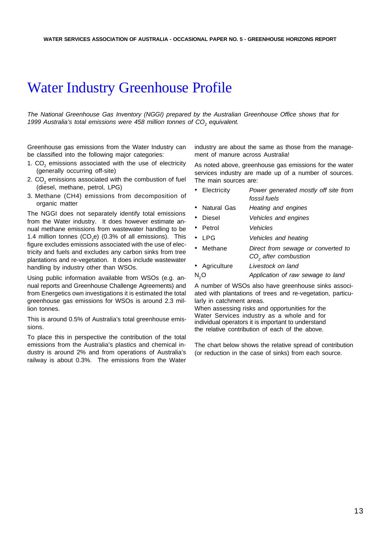## Water Industry Greenhouse Profile

*The National Greenhouse Gas Inventory (NGGI) prepared by the Australian Greenhouse Office shows that for 1999 Australia's total emissions were 458 million tonnes of CO<sup>2</sup> equivalent.*

Greenhouse gas emissions from the Water Industry can be classified into the following major categories:

- 1.  $CO<sub>2</sub>$  emissions associated with the use of electricity (generally occurring off-site)
- 2.  $\textsf{CO}_2$  emissions associated with the combustion of fuel (diesel, methane, petrol, LPG)
- 3. Methane (CH4) emissions from decomposition of organic matter

The NGGI does not separately identify total emissions from the Water industry. It does however estimate annual methane emissions from wastewater handling to be 1.4 million tonnes  $(CO_2e)$  (0.3% of all emissions). This figure excludes emissions associated with the use of electricity and fuels and excludes any carbon sinks from tree plantations and re-vegetation. It does include wastewater handling by industry other than WSOs.

Using public information available from WSOs (e.g. annual reports and Greenhouse Challenge Agreements) and from Energetics own investigations it is estimated the total greenhouse gas emissions for WSOs is around 2.3 million tonnes.

This is around 0.5% of Australia's total greenhouse emissions.

To place this in perspective the contribution of the total emissions from the Australia's plastics and chemical industry is around 2% and from operations of Australia's railway is about 0.3%. The emissions from the Water industry are about the same as those from the management of manure across Australia!

As noted above, greenhouse gas emissions for the water services industry are made up of a number of sources. The main sources are:

- Electricity *Power generated mostly off site from fossil fuels*
- Natural Gas *Heating and engines*
- Diesel *Vehicles and engines*
- Petrol *Vehicles*
- LPG *Vehicles and heating*
- Methane *Direct from sewage or converted to CO<sup>2</sup> after combustion*
- Agriculture *Livestock on land*
- N2O *Application of raw sewage to land*

A number of WSOs also have greenhouse sinks associated with plantations of trees and re-vegetation, particularly in catchment areas.

When assessing risks and opportunities for the Water Services industry as a whole and for individual operators it is important to understand the relative contribution of each of the above.

The chart below shows the relative spread of contribution (or reduction in the case of sinks) from each source.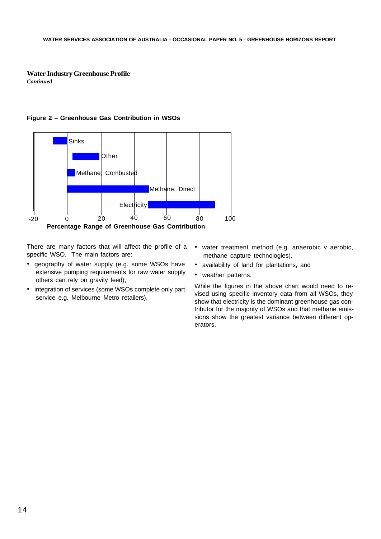#### **Water Industry Greenhouse Profile** *Continued*





There are many factors that will affect the profile of a specific WSO. The main factors are:

- geography of water supply (e.g. some WSOs have extensive pumping requirements for raw water supply others can rely on gravity feed),
- integration of services (some WSOs complete only part service e.g. Melbourne Metro retailers),
- water treatment method (e.g. anaerobic v aerobic, methane capture technologies),
- availability of land for plantations, and
- weather patterns.

While the figures in the above chart would need to revised using specific inventory data from all WSOs, they show that electricity is the dominant greenhouse gas contributor for the majority of WSOs and that methane emissions show the greatest variance between different operators.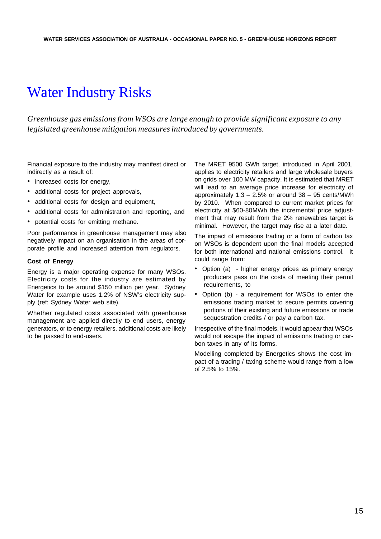## Water Industry Risks

*Greenhouse gas emissions from WSOs are large enough to provide significant exposure to any legislated greenhouse mitigation measures introduced by governments.*

Financial exposure to the industry may manifest direct or indirectly as a result of:

- increased costs for energy,
- additional costs for project approvals,
- additional costs for design and equipment,
- additional costs for administration and reporting, and
- potential costs for emitting methane.

Poor performance in greenhouse management may also negatively impact on an organisation in the areas of corporate profile and increased attention from regulators.

#### **Cost of Energy**

Energy is a major operating expense for many WSOs. Electricity costs for the industry are estimated by Energetics to be around \$150 million per year. Sydney Water for example uses 1.2% of NSW's electricity supply (ref: Sydney Water web site).

Whether regulated costs associated with greenhouse management are applied directly to end users, energy generators, or to energy retailers, additional costs are likely to be passed to end-users.

The MRET 9500 GWh target, introduced in April 2001, applies to electricity retailers and large wholesale buyers on grids over 100 MW capacity. It is estimated that MRET will lead to an average price increase for electricity of approximately  $1.3 - 2.5\%$  or around  $38 - 95$  cents/MWh by 2010. When compared to current market prices for electricity at \$60-80MWh the incremental price adjustment that may result from the 2% renewables target is minimal. However, the target may rise at a later date.

The impact of emissions trading or a form of carbon tax on WSOs is dependent upon the final models accepted for both international and national emissions control. It could range from:

- Option (a) higher energy prices as primary energy producers pass on the costs of meeting their permit requirements, to
- Option (b) a requirement for WSOs to enter the emissions trading market to secure permits covering portions of their existing and future emissions or trade sequestration credits / or pay a carbon tax.

Irrespective of the final models, it would appear that WSOs would not escape the impact of emissions trading or carbon taxes in any of its forms.

Modelling completed by Energetics shows the cost impact of a trading / taxing scheme would range from a low of 2.5% to 15%.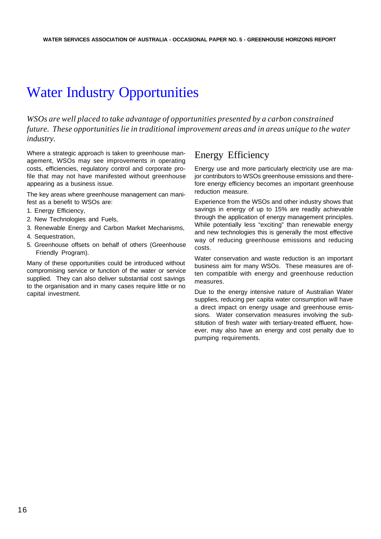## Water Industry Opportunities

*WSOs are well placed to take advantage of opportunities presented by a carbon constrained future. These opportunities lie in traditional improvement areas and in areas unique to the water industry.*

Where a strategic approach is taken to greenhouse management, WSOs may see improvements in operating costs, efficiencies, regulatory control and corporate profile that may not have manifested without greenhouse appearing as a business issue.

The key areas where greenhouse management can manifest as a benefit to WSOs are:

- 1. Energy Efficiency,
- 2. New Technologies and Fuels,
- 3. Renewable Energy and Carbon Market Mechanisms,
- 4. Sequestration,
- 5. Greenhouse offsets on behalf of others (Greenhouse Friendly Program).

Many of these opportunities could be introduced without compromising service or function of the water or service supplied. They can also deliver substantial cost savings to the organisation and in many cases require little or no capital investment.

### Energy Efficiency

Energy use and more particularly electricity use are major contributors to WSOs greenhouse emissions and therefore energy efficiency becomes an important greenhouse reduction measure.

Experience from the WSOs and other industry shows that savings in energy of up to 15% are readily achievable through the application of energy management principles. While potentially less "exciting" than renewable energy and new technologies this is generally the most effective way of reducing greenhouse emissions and reducing costs.

Water conservation and waste reduction is an important business aim for many WSOs. These measures are often compatible with energy and greenhouse reduction measures.

Due to the energy intensive nature of Australian Water supplies, reducing per capita water consumption will have a direct impact on energy usage and greenhouse emissions. Water conservation measures involving the substitution of fresh water with tertiary-treated effluent, however, may also have an energy and cost penalty due to pumping requirements.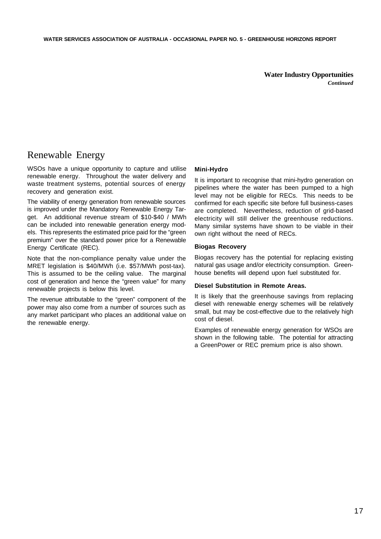**Water Industry Opportunities** *Continued*

## Renewable Energy

WSOs have a unique opportunity to capture and utilise renewable energy. Throughout the water delivery and waste treatment systems, potential sources of energy recovery and generation exist.

The viability of energy generation from renewable sources is improved under the Mandatory Renewable Energy Target. An additional revenue stream of \$10-\$40 / MWh can be included into renewable generation energy models. This represents the estimated price paid for the "green premium" over the standard power price for a Renewable Energy Certificate (REC).

Note that the non-compliance penalty value under the MRET legislation is \$40/MWh (i.e. \$57/MWh post-tax). This is assumed to be the ceiling value. The marginal cost of generation and hence the "green value" for many renewable projects is below this level.

The revenue attributable to the "green" component of the power may also come from a number of sources such as any market participant who places an additional value on the renewable energy.

#### **Mini-Hydro**

It is important to recognise that mini-hydro generation on pipelines where the water has been pumped to a high level may not be eligible for RECs. This needs to be confirmed for each specific site before full business-cases are completed. Nevertheless, reduction of grid-based electricity will still deliver the greenhouse reductions. Many similar systems have shown to be viable in their own right without the need of RECs.

#### **Biogas Recovery**

Biogas recovery has the potential for replacing existing natural gas usage and/or electricity consumption. Greenhouse benefits will depend upon fuel substituted for.

#### **Diesel Substitution in Remote Areas.**

It is likely that the greenhouse savings from replacing diesel with renewable energy schemes will be relatively small, but may be cost-effective due to the relatively high cost of diesel.

Examples of renewable energy generation for WSOs are shown in the following table. The potential for attracting a GreenPower or REC premium price is also shown.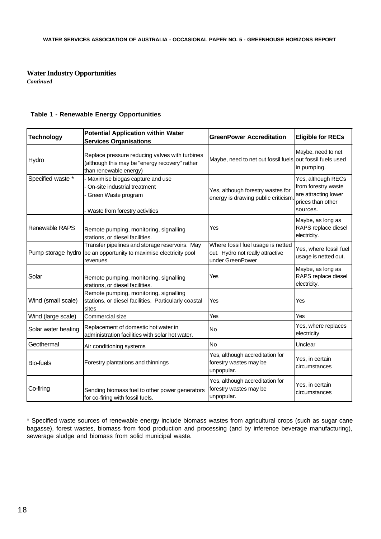#### **Water Industry Opportunities**

*Continued*

#### **Table 1 - Renewable Energy Opportunities**

| <b>Technology</b>   | <b>Potential Application within Water</b><br><b>Services Organisations</b>                                                 | <b>GreenPower Accreditation</b>                                                           | <b>Eligible for RECs</b>                                                                           |
|---------------------|----------------------------------------------------------------------------------------------------------------------------|-------------------------------------------------------------------------------------------|----------------------------------------------------------------------------------------------------|
| Hydro               | Replace pressure reducing valves with turbines<br>(although this may be "energy recovery" rather<br>than renewable energy) | Maybe, need to net out fossil fuels out fossil fuels used                                 | Maybe, need to net<br>in pumping.                                                                  |
| Specified waste *   | Maximise biogas capture and use<br>On-site industrial treatment<br>Green Waste program<br>Waste from forestry activities   | Yes, although forestry wastes for<br>energy is drawing public criticism.                  | Yes, although RECs<br>from forestry waste<br>are attracting lower<br>prices than other<br>sources. |
| Renewable RAPS      | Remote pumping, monitoring, signalling<br>stations, or diesel facilities.                                                  | Yes                                                                                       | Maybe, as long as<br>RAPS replace diesel<br>electricity.                                           |
| Pump storage hydro  | Transfer pipelines and storage reservoirs. May<br>be an opportunity to maximise electricity pool<br>revenues.              | Where fossil fuel usage is netted<br>out. Hydro not really attractive<br>under GreenPower | Yes, where fossil fuel<br>usage is netted out.                                                     |
| Solar               | Remote pumping, monitoring, signalling<br>stations, or diesel facilities.                                                  | Yes                                                                                       | Maybe, as long as<br>RAPS replace diesel<br>electricity.                                           |
| Wind (small scale)  | Remote pumping, monitoring, signalling<br>stations, or diesel facilities. Particularly coastal<br>sites                    | Yes                                                                                       | Yes                                                                                                |
| Wind (large scale)  | Commercial size                                                                                                            | Yes                                                                                       | Yes                                                                                                |
| Solar water heating | Replacement of domestic hot water in<br>administration facilities with solar hot water.                                    | No                                                                                        | Yes, where replaces<br>electricity                                                                 |
| Geothermal          | Air conditioning systems                                                                                                   | No                                                                                        | Unclear                                                                                            |
| <b>Bio-fuels</b>    | Forestry plantations and thinnings                                                                                         | Yes, although accreditation for<br>forestry wastes may be<br>unpopular.                   | Yes, in certain<br>circumstances                                                                   |
| Co-firing           | Sending biomass fuel to other power generators<br>for co-firing with fossil fuels.                                         | Yes, although accreditation for<br>forestry wastes may be<br>unpopular.                   | Yes, in certain<br>circumstances                                                                   |

\* Specified waste sources of renewable energy include biomass wastes from agricultural crops (such as sugar cane bagasse), forest wastes, biomass from food production and processing (and by inference beverage manufacturing), sewerage sludge and biomass from solid municipal waste.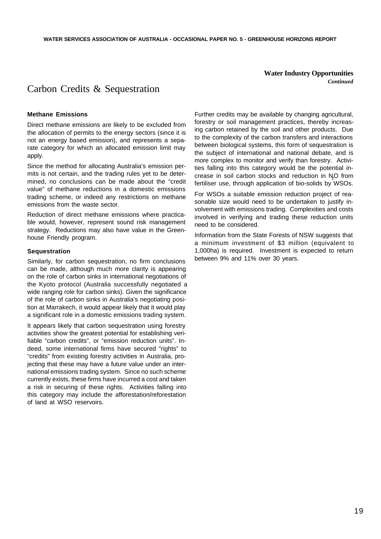**Water Industry Opportunities** *Continued*

### Carbon Credits & Sequestration

#### **Methane Emissions**

Direct methane emissions are likely to be excluded from the allocation of permits to the energy sectors (since it is not an energy based emission), and represents a separate category for which an allocated emission limit may apply.

Since the method for allocating Australia's emission permits is not certain, and the trading rules yet to be determined, no conclusions can be made about the "credit value" of methane reductions in a domestic emissions trading scheme, or indeed any restrictions on methane emissions from the waste sector.

Reduction of direct methane emissions where practicable would, however, represent sound risk management strategy. Reductions may also have value in the Greenhouse Friendly program.

#### **Sequestration**

Similarly, for carbon sequestration, no firm conclusions can be made, although much more clarity is appearing on the role of carbon sinks in international negotiations of the Kyoto protocol (Australia successfully negotiated a wide ranging role for carbon sinks). Given the significance of the role of carbon sinks in Australia's negotiating position at Marrakech, it would appear likely that it would play a significant role in a domestic emissions trading system.

It appears likely that carbon sequestration using forestry activities show the greatest potential for establishing verifiable "carbon credits", or "emission reduction units". Indeed, some international firms have secured "rights" to "credits" from existing forestry activities in Australia, projecting that these may have a future value under an international emissions trading system. Since no such scheme currently exists, these firms have incurred a cost and taken a risk in securing of these rights. Activities falling into this category may include the afforestation/reforestation of land at WSO reservoirs.

Further credits may be available by changing agricultural, forestry or soil management practices, thereby increasing carbon retained by the soil and other products. Due to the complexity of the carbon transfers and interactions between biological systems, this form of sequestration is the subject of international and national debate, and is more complex to monitor and verify than forestry. Activities falling into this category would be the potential increase in soil carbon stocks and reduction in NO from fertiliser use, through application of bio-solids by WSOs.

For WSOs a suitable emission reduction project of reasonable size would need to be undertaken to justify involvement with emissions trading. Complexities and costs involved in verifying and trading these reduction units need to be considered.

Information from the State Forests of NSW suggests that a minimum investment of \$3 million (equivalent to 1,000ha) is required. Investment is expected to return between 9% and 11% over 30 years.